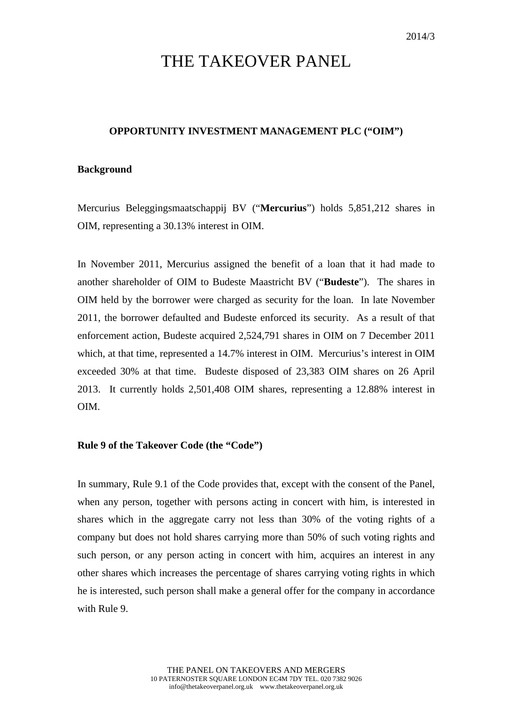# THE TAKEOVER PANEL

## **OPPORTUNITY INVESTMENT MANAGEMENT PLC ("OIM")**

## **Background**

Mercurius Beleggingsmaatschappij BV ("**Mercurius**") holds 5,851,212 shares in OIM, representing a 30.13% interest in OIM.

In November 2011, Mercurius assigned the benefit of a loan that it had made to another shareholder of OIM to Budeste Maastricht BV ("**Budeste**"). The shares in OIM held by the borrower were charged as security for the loan. In late November 2011, the borrower defaulted and Budeste enforced its security. As a result of that enforcement action, Budeste acquired 2,524,791 shares in OIM on 7 December 2011 which, at that time, represented a 14.7% interest in OIM. Mercurius's interest in OIM exceeded 30% at that time. Budeste disposed of 23,383 OIM shares on 26 April 2013. It currently holds 2,501,408 OIM shares, representing a 12.88% interest in OIM.

#### **Rule 9 of the Takeover Code (the "Code")**

In summary, Rule 9.1 of the Code provides that, except with the consent of the Panel, when any person, together with persons acting in concert with him, is interested in shares which in the aggregate carry not less than 30% of the voting rights of a company but does not hold shares carrying more than 50% of such voting rights and such person, or any person acting in concert with him, acquires an interest in any other shares which increases the percentage of shares carrying voting rights in which he is interested, such person shall make a general offer for the company in accordance with Rule 9.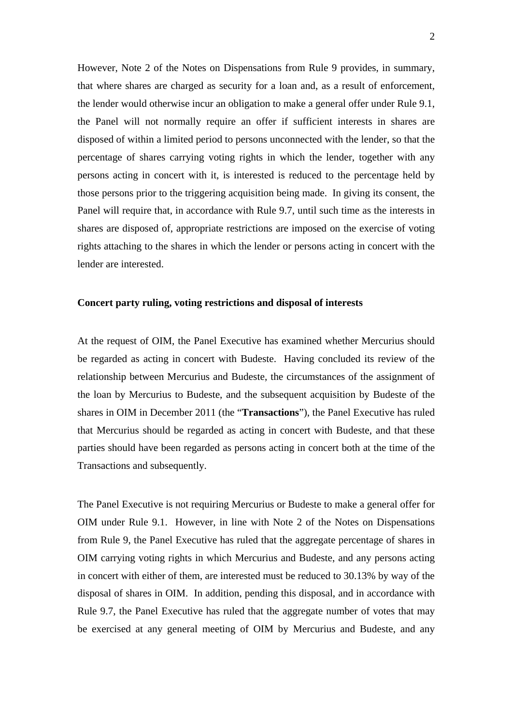However, Note 2 of the Notes on Dispensations from Rule 9 provides, in summary, that where shares are charged as security for a loan and, as a result of enforcement, the lender would otherwise incur an obligation to make a general offer under Rule 9.1, the Panel will not normally require an offer if sufficient interests in shares are disposed of within a limited period to persons unconnected with the lender, so that the percentage of shares carrying voting rights in which the lender, together with any persons acting in concert with it, is interested is reduced to the percentage held by those persons prior to the triggering acquisition being made. In giving its consent, the Panel will require that, in accordance with Rule 9.7, until such time as the interests in shares are disposed of, appropriate restrictions are imposed on the exercise of voting rights attaching to the shares in which the lender or persons acting in concert with the lender are interested.

## **Concert party ruling, voting restrictions and disposal of interests**

At the request of OIM, the Panel Executive has examined whether Mercurius should be regarded as acting in concert with Budeste. Having concluded its review of the relationship between Mercurius and Budeste, the circumstances of the assignment of the loan by Mercurius to Budeste, and the subsequent acquisition by Budeste of the shares in OIM in December 2011 (the "**Transactions**"), the Panel Executive has ruled that Mercurius should be regarded as acting in concert with Budeste, and that these parties should have been regarded as persons acting in concert both at the time of the Transactions and subsequently.

The Panel Executive is not requiring Mercurius or Budeste to make a general offer for OIM under Rule 9.1. However, in line with Note 2 of the Notes on Dispensations from Rule 9, the Panel Executive has ruled that the aggregate percentage of shares in OIM carrying voting rights in which Mercurius and Budeste, and any persons acting in concert with either of them, are interested must be reduced to 30.13% by way of the disposal of shares in OIM. In addition, pending this disposal, and in accordance with Rule 9.7, the Panel Executive has ruled that the aggregate number of votes that may be exercised at any general meeting of OIM by Mercurius and Budeste, and any